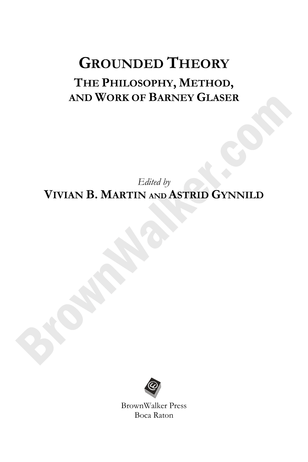## **GROUNDED THEORY THE PHILOSOPHY, METHOD, AND WORK OF BARNEY GLASER**

*Edited by*  **VIVIAN B. MARTIN AND ASTRID GYNNILD**



BrownWalker Press Boca Raton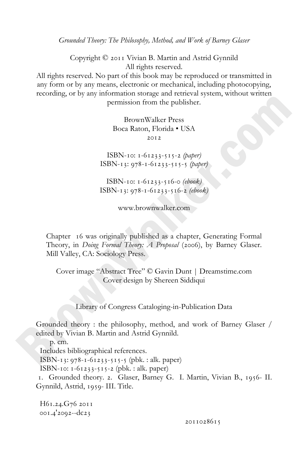*Grounded Theory: The Philosophy, Method, and Work of Barney Glaser*

Copyright  $\heartsuit$  2011 Vivian B. Martin and Astrid Gynnild All rights reserved.

All rights reserved. No part of this book may be reproduced or transmitted in any form or by any means, electronic or mechanical, including photocopying, recording, or by any information storage and retrieval system, without written permission from the publisher.

> BrownWalker Press Boca Raton, Florida • USA  $2012$

ISBN-10: 1-61233-515-2 *(paper)* ISBN-13: 978-1-61233-515-5 (paper)

ISBN-10: 1-61233-516-0 (ebook)  $ISBN-13: 978-1-61233-516-2$  (ebook)

www.brownwalker.com

Chapter 16 was originally published as a chapter, Generating Formal Theory, in *Doing Formal Theory: A Proposal* (2006), by Barney Glaser. Mill Valley, CA: Sociology Press.

Cover image "Abstract Tree" © Gavin Dunt | Dreamstime.com Cover design by Shereen Siddiqui

Library of Congress Cataloging-in-Publication Data

Grounded theory : the philosophy, method, and work of Barney Glaser / edited by Vivian B. Martin and Astrid Gynnild.

 p. cm. Includes bibliographical references. ISBN- $_{13}:$  978- $_{1-6}$  $_{1233-5}$  $_{15-5}$  (pbk. : alk. paper) ISBN-10:  $1-61233-515-2$  (pbk. : alk. paper) 1. Grounded theory. 2. Glaser, Barney G. I. Martin, Vivian B., 1956-II. Gynnild, Astrid, 1959- III. Title.

H61.24.G76 2011 001.4'2092--dc23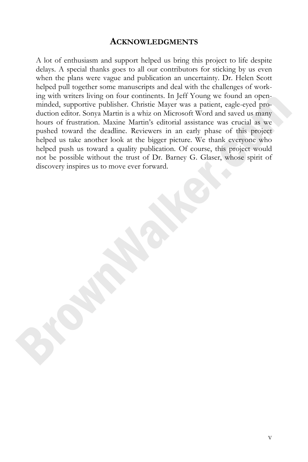#### **ACKNOWLEDGMENTS**

A lot of enthusiasm and support helped us bring this project to life despite delays. A special thanks goes to all our contributors for sticking by us even when the plans were vague and publication an uncertainty. Dr. Helen Scott helped pull together some manuscripts and deal with the challenges of working with writers living on four continents. In Jeff Young we found an openminded, supportive publisher. Christie Mayer was a patient, eagle-eyed production editor. Sonya Martin is a whiz on Microsoft Word and saved us many hours of frustration. Maxine Martin's editorial assistance was crucial as we pushed toward the deadline. Reviewers in an early phase of this project helped us take another look at the bigger picture. We thank everyone who helped push us toward a quality publication. Of course, this project would not be possible without the trust of Dr. Barney G. Glaser, whose spirit of discovery inspires us to move ever forward.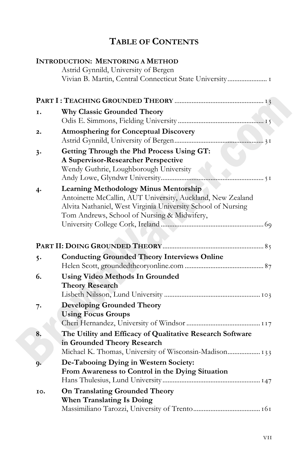### **TABLE OF CONTENTS**

|     | <b>INTRODUCTION: MENTORING A METHOD</b>                                                                                                                                                                                   |
|-----|---------------------------------------------------------------------------------------------------------------------------------------------------------------------------------------------------------------------------|
|     | Astrid Gynnild, University of Bergen                                                                                                                                                                                      |
|     | Vivian B. Martin, Central Connecticut State University I                                                                                                                                                                  |
|     |                                                                                                                                                                                                                           |
| Ι.  | <b>Why Classic Grounded Theory</b>                                                                                                                                                                                        |
| 2.  | <b>Atmosphering for Conceptual Discovery</b>                                                                                                                                                                              |
| 3.  | Getting Through the Phd Process Using GT:<br>A Supervisor-Researcher Perspective<br>Wendy Guthrie, Loughborough University                                                                                                |
| 4·  | <b>Learning Methodology Minus Mentorship</b><br>Antoinette McCallin, AUT University, Auckland, New Zealand<br>Alvita Nathaniel, West Virginia University School of Nursing<br>Tom Andrews, School of Nursing & Midwifery, |
|     |                                                                                                                                                                                                                           |
| 5.  | <b>Conducting Grounded Theory Interviews Online</b>                                                                                                                                                                       |
| 6.  | <b>Using Video Methods In Grounded</b><br><b>Theory Research</b>                                                                                                                                                          |
| 7.  | <b>Developing Grounded Theory</b><br><b>Using Focus Groups</b>                                                                                                                                                            |
| 8.  | The Utility and Efficacy of Qualitative Research Software<br>in Grounded Theory Research<br>Michael K. Thomas, University of Wisconsin-Madison 133                                                                        |
| 9.  | De-Tabooing Dying in Western Society:<br>From Awareness to Control in the Dying Situation                                                                                                                                 |
| IO. | <b>On Translating Grounded Theory</b><br><b>When Translating Is Doing</b>                                                                                                                                                 |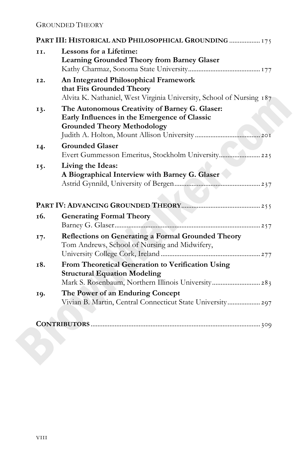|     | PART III: HISTORICAL AND PHILOSOPHICAL GROUNDING  175                                                                                           |
|-----|-------------------------------------------------------------------------------------------------------------------------------------------------|
| II. | <b>Lessons for a Lifetime:</b><br><b>Learning Grounded Theory from Barney Glaser</b>                                                            |
| 12. | An Integrated Philosophical Framework<br>that Fits Grounded Theory<br>Alvita K. Nathaniel, West Virginia University, School of Nursing 187      |
| 13. | The Autonomous Creativity of Barney G. Glaser:<br>Early Influences in the Emergence of Classic<br><b>Grounded Theory Methodology</b>            |
| 14. | <b>Grounded Glaser</b><br>Evert Gummesson Emeritus, Stockholm University 225                                                                    |
| 15. | Living the Ideas:<br>A Biographical Interview with Barney G. Glaser                                                                             |
|     |                                                                                                                                                 |
| 16. | <b>Generating Formal Theory</b>                                                                                                                 |
| 17. | Reflections on Generating a Formal Grounded Theory<br>Tom Andrews, School of Nursing and Midwifery,                                             |
| 18. | From Theoretical Generation to Verification Using<br><b>Structural Equation Modeling</b><br>Mark S. Rosenbaum, Northern Illinois University 283 |
| 19. | The Power of an Enduring Concept<br>Vivian B. Martin, Central Connecticut State University 297                                                  |
|     |                                                                                                                                                 |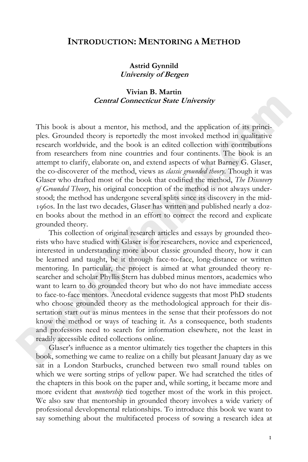#### **INTRODUCTION: MENTORING A METHOD**

#### **Astrid Gynnild University of Bergen**

#### **Vivian B. Martin Central Connecticut State University**

This book is about a mentor, his method, and the application of its principles. Grounded theory is reportedly the most invoked method in qualitative research worldwide, and the book is an edited collection with contributions from researchers from nine countries and four continents. The book is an attempt to clarify, elaborate on, and extend aspects of what Barney G. Glaser, the co-discoverer of the method, views as *classic grounded theory*. Though it was Glaser who drafted most of the book that codified the method, *The Discovery of Grounded Theory*, his original conception of the method is not always understood; the method has undergone several splits since its discovery in the mid- 1960s. In the last two decades, Glaser has written and published nearly a dozen books about the method in an effort to correct the record and explicate grounded theory.

This collection of original research articles and essays by grounded theorists who have studied with Glaser is for researchers, novice and experienced, interested in understanding more about classic grounded theory, how it can be learned and taught, be it through face-to-face, long-distance or written mentoring. In particular, the project is aimed at what grounded theory researcher and scholar Phyllis Stern has dubbed minus mentors, academics who want to learn to do grounded theory but who do not have immediate access to face-to-face mentors. Anecdotal evidence suggests that most PhD students who choose grounded theory as the methodological approach for their dissertation start out as minus mentees in the sense that their professors do not know the method or ways of teaching it. As a consequence, both students and professors need to search for information elsewhere, not the least in readily accessible edited collections online.

Glaser's influence as a mentor ultimately ties together the chapters in this book, something we came to realize on a chilly but pleasant January day as we sat in a London Starbucks, crunched between two small round tables on which we were sorting strips of yellow paper. We had scratched the titles of the chapters in this book on the paper and, while sorting, it became more and more evident that *mentorship* tied together most of the work in this project. We also saw that mentorship in grounded theory involves a wide variety of professional developmental relationships. To introduce this book we want to say something about the multifaceted process of sowing a research idea at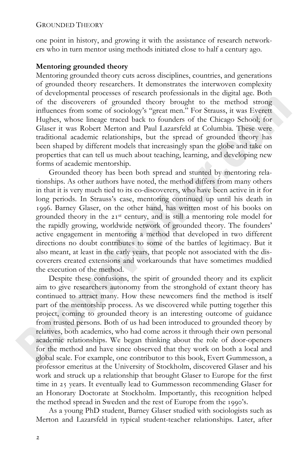one point in history, and growing it with the assistance of research networkers who in turn mentor using methods initiated close to half a century ago.

#### **Mentoring grounded theory**

Mentoring grounded theory cuts across disciplines, countries, and generations of grounded theory researchers. It demonstrates the interwoven complexity of developmental processes of research professionals in the digital age. Both of the discoverers of grounded theory brought to the method strong influences from some of sociology's "great men." For Strauss, it was Everett Hughes, whose lineage traced back to founders of the Chicago School; for Glaser it was Robert Merton and Paul Lazarsfeld at Columbia. These were traditional academic relationships, but the spread of grounded theory has been shaped by different models that increasingly span the globe and take on properties that can tell us much about teaching, learning, and developing new forms of academic mentorship.

Grounded theory has been both spread and stunted by mentoring relationships. As other authors have noted, the method differs from many others in that it is very much tied to its co-discoverers, who have been active in it for long periods. In Strauss's case, mentoring continued up until his death in . Barney Glaser, on the other hand, has written most of his books on grounded theory in the  $21^{st}$  century, and is still a mentoring role model for the rapidly growing, worldwide network of grounded theory. The founders' active engagement in mentoring a method that developed in two different directions no doubt contributes to some of the battles of legitimacy. But it also meant, at least in the early years, that people not associated with the discoverers created extensions and workarounds that have sometimes muddied the execution of the method.

Despite these confusions, the spirit of grounded theory and its explicit aim to give researchers autonomy from the stronghold of extant theory has continued to attract many. How these newcomers find the method is itself part of the mentorship process. As we discovered while putting together this project, coming to grounded theory is an interesting outcome of guidance from trusted persons. Both of us had been introduced to grounded theory by relatives, both academics, who had come across it through their own personal academic relationships. We began thinking about the role of door-openers for the method and have since observed that they work on both a local and global scale. For example, one contributor to this book, Evert Gummesson, a professor emeritus at the University of Stockholm, discovered Glaser and his work and struck up a relationship that brought Glaser to Europe for the first time in 25 years. It eventually lead to Gummesson recommending Glaser for an Honorary Doctorate at Stockholm. Importantly, this recognition helped the method spread in Sweden and the rest of Europe from the 1990's.

As a young PhD student, Barney Glaser studied with sociologists such as Merton and Lazarsfeld in typical student-teacher relationships. Later, after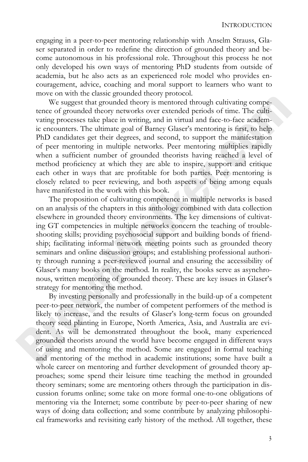engaging in a peer-to-peer mentoring relationship with Anselm Strauss, Glaser separated in order to redefine the direction of grounded theory and become autonomous in his professional role. Throughout this process he not only developed his own ways of mentoring PhD students from outside of academia, but he also acts as an experienced role model who provides encouragement, advice, coaching and moral support to learners who want to move on with the classic grounded theory protocol.

We suggest that grounded theory is mentored through cultivating competence of grounded theory networks over extended periods of time. The cultivating processes take place in writing, and in virtual and face-to-face academic encounters. The ultimate goal of Barney Glaser's mentoring is first, to help PhD candidates get their degrees, and second, to support the manifestation of peer mentoring in multiple networks. Peer mentoring multiplies rapidly when a sufficient number of grounded theorists having reached a level of method proficiency at which they are able to inspire, support and critique each other in ways that are profitable for both parties. Peer mentoring is closely related to peer reviewing, and both aspects of being among equals have manifested in the work with this book.

The proposition of cultivating competence in multiple networks is based on an analysis of the chapters in this anthology combined with data collection elsewhere in grounded theory environments. The key dimensions of cultivating GT competencies in multiple networks concern the teaching of troubleshooting skills; providing psychosocial support and building bonds of friendship; facilitating informal network meeting points such as grounded theory seminars and online discussion groups; and establishing professional authority through running a peer-reviewed journal and ensuring the accessibility of Glaser's many books on the method. In reality, the books serve as asynchronous, written mentoring of grounded theory. These are key issues in Glaser's strategy for mentoring the method.

By investing personally and professionally in the build-up of a competent peer-to-peer network, the number of competent performers of the method is likely to increase, and the results of Glaser's long-term focus on grounded theory seed planting in Europe, North America, Asia, and Australia are evident. As will be demonstrated throughout the book, many experienced grounded theorists around the world have become engaged in different ways of using and mentoring the method. Some are engaged in formal teaching and mentoring of the method in academic institutions; some have built a whole career on mentoring and further development of grounded theory approaches; some spend their leisure time teaching the method in grounded theory seminars; some are mentoring others through the participation in discussion forums online; some take on more formal one-to-one obligations of mentoring via the Internet; some contribute by peer-to-peer sharing of new ways of doing data collection; and some contribute by analyzing philosophical frameworks and revisiting early history of the method. All together, these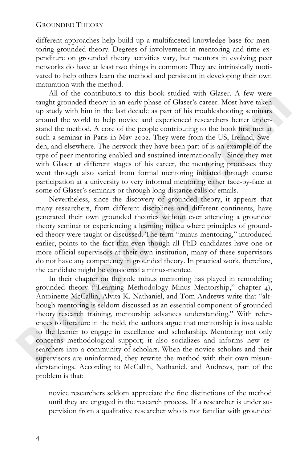different approaches help build up a multifaceted knowledge base for mentoring grounded theory. Degrees of involvement in mentoring and time expenditure on grounded theory activities vary, but mentors in evolving peer networks do have at least two things in common: They are intrinsically motivated to help others learn the method and persistent in developing their own maturation with the method.

All of the contributors to this book studied with Glaser. A few were taught grounded theory in an early phase of Glaser's career. Most have taken up study with him in the last decade as part of his troubleshooting seminars around the world to help novice and experienced researchers better understand the method. A core of the people contributing to the book first met at such a seminar in Paris in May 2002. They were from the US, Ireland, Sweden, and elsewhere. The network they have been part of is an example of the type of peer mentoring enabled and sustained internationally. Since they met with Glaser at different stages of his career, the mentoring processes they went through also varied from formal mentoring initiated through course participation at a university to very informal mentoring either face-by-face at some of Glaser's seminars or through long distance calls or emails.

Nevertheless, since the discovery of grounded theory, it appears that many researchers, from different disciplines and different continents, have generated their own grounded theories without ever attending a grounded theory seminar or experiencing a learning milieu where principles of grounded theory were taught or discussed. The term "minus-mentoring," introduced earlier, points to the fact that even though all PhD candidates have one or more official supervisors at their own institution, many of these supervisors do not have any competency in grounded theory. In practical work, therefore, the candidate might be considered a minus-mentee.

In their chapter on the role minus mentoring has played in remodeling grounded theory ("Learning Methodology Minus Mentorship," chapter 4), Antoinette McCallin, Alvita K. Nathaniel, and Tom Andrews write that "although mentoring is seldom discussed as an essential component of grounded theory research training, mentorship advances understanding." With references to literature in the field, the authors argue that mentorship is invaluable to the learner to engage in excellence and scholarship. Mentoring not only concerns methodological support; it also socializes and informs new researchers into a community of scholars. When the novice scholars and their supervisors are uninformed, they rewrite the method with their own misunderstandings. According to McCallin, Nathaniel, and Andrews, part of the problem is that:

novice researchers seldom appreciate the fine distinctions of the method until they are engaged in the research process. If a researcher is under supervision from a qualitative researcher who is not familiar with grounded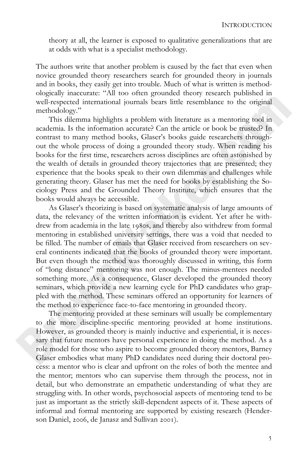theory at all, the learner is exposed to qualitative generalizations that are at odds with what is a specialist methodology.

The authors write that another problem is caused by the fact that even when novice grounded theory researchers search for grounded theory in journals and in books, they easily get into trouble. Much of what is written is methodologically inaccurate: "All too often grounded theory research published in well-respected international journals bears little resemblance to the original methodology."

This dilemma highlights a problem with literature as a mentoring tool in academia. Is the information accurate? Can the article or book be trusted? In contrast to many method books, Glaser's books guide researchers throughout the whole process of doing a grounded theory study. When reading his books for the first time, researchers across disciplines are often astonished by the wealth of details in grounded theory trajectories that are presented; they experience that the books speak to their own dilemmas and challenges while generating theory. Glaser has met the need for books by establishing the Sociology Press and the Grounded Theory Institute, which ensures that the books would always be accessible.

As Glaser's theorizing is based on systematic analysis of large amounts of data, the relevancy of the written information is evident. Yet after he withdrew from academia in the late 1980s, and thereby also withdrew from formal mentoring in established university settings, there was a void that needed to be filled. The number of emails that Glaser received from researchers on several continents indicated that the books of grounded theory were important. But even though the method was thoroughly discussed in writing, this form of "long distance" mentoring was not enough. The minus-mentees needed something more. As a consequence, Glaser developed the grounded theory seminars, which provide a new learning cycle for PhD candidates who grappled with the method. These seminars offered an opportunity for learners of the method to experience face-to-face mentoring in grounded theory.

The mentoring provided at these seminars will usually be complementary to the more discipline-specific mentoring provided at home institutions. However, as grounded theory is mainly inductive and experiential, it is necessary that future mentors have personal experience in doing the method. As a role model for those who aspire to become grounded theory mentors, Barney Glaser embodies what many PhD candidates need during their doctoral process: a mentor who is clear and upfront on the roles of both the mentee and the mentor; mentors who can supervise them through the process, not in detail, but who demonstrate an empathetic understanding of what they are struggling with. In other words, psychosocial aspects of mentoring tend to be just as important as the strictly skill-dependent aspects of it. These aspects of informal and formal mentoring are supported by existing research (Henderson Daniel, 2006, de Janasz and Sullivan 2001).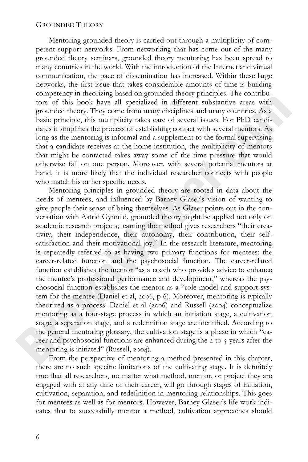Mentoring grounded theory is carried out through a multiplicity of competent support networks. From networking that has come out of the many grounded theory seminars, grounded theory mentoring has been spread to many countries in the world. With the introduction of the Internet and virtual communication, the pace of dissemination has increased. Within these large networks, the first issue that takes considerable amounts of time is building competency in theorizing based on grounded theory principles. The contributors of this book have all specialized in different substantive areas with grounded theory. They come from many disciplines and many countries. As a basic principle, this multiplicity takes care of several issues. For PhD candidates it simplifies the process of establishing contact with several mentors. As long as the mentoring is informal and a supplement to the formal supervising that a candidate receives at the home institution, the multiplicity of mentors that might be contacted takes away some of the time pressure that would otherwise fall on one person. Moreover, with several potential mentors at hand, it is more likely that the individual researcher connects with people who match his or her specific needs.

Mentoring principles in grounded theory are rooted in data about the needs of mentees, and influenced by Barney Glaser's vision of wanting to give people their sense of being themselves. As Glaser points out in the conversation with Astrid Gynnild, grounded theory might be applied not only on academic research projects; learning the method gives researchers "their creativity, their independence, their autonomy, their contribution, their selfsatisfaction and their motivational joy." In the research literature, mentoring is repeatedly referred to as having two primary functions for mentees: the career-related function and the psychosocial function. The career-related function establishes the mentor "as a coach who provides advice to enhance the mentee's professional performance and development," whereas the psychosocial function establishes the mentor as a "role model and support system for the mentee (Daniel et al, 2006, p 6). Moreover, mentoring is typically theorized as a process. Daniel et al  $(2006)$  and Russell  $(2004)$  conceptualize mentoring as a four-stage process in which an initiation stage, a cultivation stage, a separation stage, and a redefinition stage are identified. According to the general mentoring glossary, the cultivation stage is a phase in which "career and psychosocial functions are enhanced during the 2 to 5 years after the mentoring is initiated" (Russell, 2004).

From the perspective of mentoring a method presented in this chapter, there are no such specific limitations of the cultivating stage. It is definitely true that all researchers, no matter what method, mentor, or project they are engaged with at any time of their career, will go through stages of initiation, cultivation, separation, and redefinition in mentoring relationships. This goes for mentees as well as for mentors. However, Barney Glaser's life work indicates that to successfully mentor a method, cultivation approaches should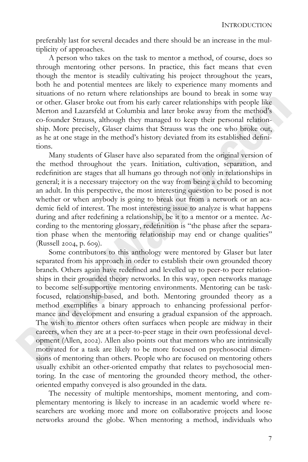preferably last for several decades and there should be an increase in the multiplicity of approaches.

A person who takes on the task to mentor a method, of course, does so through mentoring other persons. In practice, this fact means that even though the mentor is steadily cultivating his project throughout the years, both he and potential mentees are likely to experience many moments and situations of no return where relationships are bound to break in some way or other. Glaser broke out from his early career relationships with people like Merton and Lazarsfeld at Columbia and later broke away from the method's co-founder Strauss, although they managed to keep their personal relationship. More precisely, Glaser claims that Strauss was the one who broke out, as he at one stage in the method's history deviated from its established definitions.

Many students of Glaser have also separated from the original version of the method throughout the years. Initiation, cultivation, separation, and redefinition are stages that all humans go through not only in relationships in general; it is a necessary trajectory on the way from being a child to becoming an adult. In this perspective, the most interesting question to be posed is not whether or when anybody is going to break out from a network or an academic field of interest. The most interesting issue to analyze is what happens during and after redefining a relationship, be it to a mentor or a mentee. According to the mentoring glossary, redefinition is "the phase after the separation phase when the mentoring relationship may end or change qualities"  $(Russell 2004, p. 609).$ 

Some contributors to this anthology were mentored by Glaser but later separated from his approach in order to establish their own grounded theory branch. Others again have redefined and levelled up to peer-to peer relationships in their grounded theory networks. In this way, open networks manage to become self-supportive mentoring environments. Mentoring can be taskfocused, relationship-based, and both. Mentoring grounded theory as a method exemplifies a binary approach to enhancing professional performance and development and ensuring a gradual expansion of the approach. The wish to mentor others often surfaces when people are midway in their careers, when they are at a peer-to-peer stage in their own professional development (Allen, 2002). Allen also points out that mentors who are intrinsically motivated for a task are likely to be more focused on psychosocial dimensions of mentoring than others. People who are focused on mentoring others usually exhibit an other-oriented empathy that relates to psychosocial mentoring. In the case of mentoring the grounded theory method, the otheroriented empathy conveyed is also grounded in the data.

The necessity of multiple mentorships, moment mentoring, and complementary mentoring is likely to increase in an academic world where researchers are working more and more on collaborative projects and loose networks around the globe. When mentoring a method, individuals who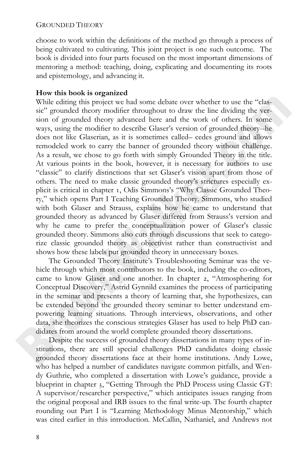choose to work within the definitions of the method go through a process of being cultivated to cultivating. This joint project is one such outcome. The book is divided into four parts focused on the most important dimensions of mentoring a method: teaching, doing, explicating and documenting its roots and epistemology, and advancing it.

#### **How this book is organized**

While editing this project we had some debate over whether to use the "classic" grounded theory modifier throughout to draw the line dividing the version of grounded theory advanced here and the work of others. In some ways, using the modifier to describe Glaser's version of grounded theory--he does not like Glaserian, as it is sometimes called– cedes ground and allows remodeled work to carry the banner of grounded theory without challenge. As a result, we chose to go forth with simply Grounded Theory in the title. At various points in the book, however, it is necessary for authors to use "classic" to clarify distinctions that set Glaser's vision apart from those of others. The need to make classic grounded theory's strictures especially explicit is critical in chapter , Odis Simmons's "Why Classic Grounded Theory," which opens Part I Teaching Grounded Theory. Simmons, who studied with both Glaser and Strauss, explains how he came to understand that grounded theory as advanced by Glaser differed from Strauss's version and why he came to prefer the conceptualization power of Glaser's classic grounded theory. Simmons also cuts through discussions that seek to categorize classic grounded theory as objectivist rather than constructivist and shows how these labels put grounded theory in unnecessary boxes.

The Grounded Theory Institute's Troubleshooting Seminar was the vehicle through which most contributors to the book, including the co-editors, came to know Glaser and one another. In chapter 2, "Atmosphering for Conceptual Discovery," Astrid Gynnild examines the process of participating in the seminar and presents a theory of learning that, she hypothesizes, can be extended beyond the grounded theory seminar to better understand empowering learning situations. Through interviews, observations, and other data, she theorizes the conscious strategies Glaser has used to help PhD candidates from around the world complete grounded theory dissertations.

Despite the success of grounded theory dissertations in many types of institutions, there are still special challenges PhD candidates doing classic grounded theory dissertations face at their home institutions. Andy Lowe, who has helped a number of candidates navigate common pitfalls, and Wendy Guthrie, who completed a dissertation with Lowe's guidance, provide a blueprint in chapter 3, "Getting Through the PhD Process using Classic GT: A supervisor/researcher perspective," which anticipates issues ranging from the original proposal and IRB issues to the final write-up. The fourth chapter rounding out Part I is "Learning Methodology Minus Mentorship," which was cited earlier in this introduction. McCallin, Nathaniel, and Andrews not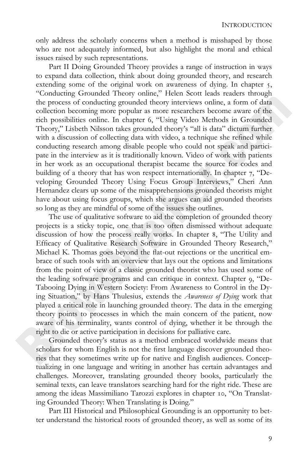only address the scholarly concerns when a method is misshaped by those who are not adequately informed, but also highlight the moral and ethical issues raised by such representations.

Part II Doing Grounded Theory provides a range of instruction in ways to expand data collection, think about doing grounded theory, and research extending some of the original work on awareness of dying. In chapter 5, "Conducting Grounded Theory online," Helen Scott leads readers through the process of conducting grounded theory interviews online, a form of data collection becoming more popular as more researchers become aware of the rich possibilities online. In chapter 6, "Using Video Methods in Grounded Theory," Lisbeth Nilsson takes grounded theory's "all is data" dictum further with a discussion of collecting data with video, a technique she refined while conducting research among disable people who could not speak and participate in the interview as it is traditionally known. Video of work with patients in her work as an occupational therapist became the source for codes and building of a theory that has won respect internationally. In chapter 7, "Developing Grounded Theory Using Focus Group Interviews," Cheri Ann Hernandez clears up some of the misapprehensions grounded theorists might have about using focus groups, which she argues can aid grounded theorists so long as they are mindful of some of the issues she outlines.

The use of qualitative software to aid the completion of grounded theory projects is a sticky topic, one that is too often dismissed without adequate discussion of how the process really works. In chapter 8, "The Utility and Efficacy of Qualitative Research Software in Grounded Theory Research," Michael K. Thomas goes beyond the flat-out rejections or the uncritical embrace of such tools with an overview that lays out the options and limitations from the point of view of a classic grounded theorist who has used some of the leading software programs and can critique in context. Chapter 9, "De-Tabooing Dying in Western Society: From Awareness to Control in the Dying Situation," by Hans Thulesius, extends the *Awareness of Dying* work that played a critical role in launching grounded theory. The data in the emerging theory points to processes in which the main concern of the patient, now aware of his terminality, wants control of dying, whether it be through the right to die or active participation in decisions for palliative care.

Grounded theory's status as a method embraced worldwide means that scholars for whom English is not the first language discover grounded theories that they sometimes write up for native and English audiences. Conceptualizing in one language and writing in another has certain advantages and challenges. Moreover, translating grounded theory books, particularly the seminal texts, can leave translators searching hard for the right ride. These are among the ideas Massimiliano Tarozzi explores in chapter 10, "On Translating Grounded Theory: When Translating is Doing."

Part III Historical and Philosophical Grounding is an opportunity to better understand the historical roots of grounded theory, as well as some of its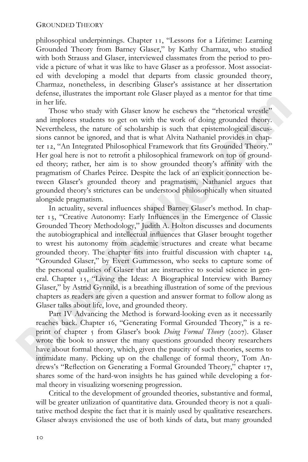philosophical underpinnings. Chapter 11, "Lessons for a Lifetime: Learning Grounded Theory from Barney Glaser," by Kathy Charmaz, who studied with both Strauss and Glaser, interviewed classmates from the period to provide a picture of what it was like to have Glaser as a professor. Most associated with developing a model that departs from classic grounded theory, Charmaz, nonetheless, in describing Glaser's assistance at her dissertation defense, illustrates the important role Glaser played as a mentor for that time in her life.

Those who study with Glaser know he eschews the "rhetorical wrestle" and implores students to get on with the work of doing grounded theory. Nevertheless, the nature of scholarship is such that epistemological discussions cannot be ignored, and that is what Alvita Nathaniel provides in chapter 12, "An Integrated Philosophical Framework that fits Grounded Theory." Her goal here is not to retrofit a philosophical framework on top of grounded theory; rather, her aim is to show grounded theory's affinity with the pragmatism of Charles Peirce. Despite the lack of an explicit connection between Glaser's grounded theory and pragmatism, Nathaniel argues that grounded theory's strictures can be understood philosophically when situated alongside pragmatism.

In actuality, several influences shaped Barney Glaser's method. In chapter 13, "Creative Autonomy: Early Influences in the Emergence of Classic Grounded Theory Methodology," Judith A. Holton discusses and documents the autobiographical and intellectual influences that Glaser brought together to wrest his autonomy from academic structures and create what became grounded theory. The chapter fits into fruitful discussion with chapter 14, "Grounded Glaser," by Evert Gummesson, who seeks to capture some of the personal qualities of Glaser that are instructive to social science in general. Chapter 15, "Living the Ideas: A Biographical Interview with Barney Glaser," by Astrid Gynnild, is a breathing illustration of some of the previous chapters as readers are given a question and answer format to follow along as Glaser talks about life, love, and grounded theory.

Part IV Advancing the Method is forward-looking even as it necessarily reaches back. Chapter 16, "Generating Formal Grounded Theory," is a reprint of chapter 5 from Glaser's book *Doing Formal Theory* (2007). Glaser wrote the book to answer the many questions grounded theory researchers have about formal theory, which, given the paucity of such theories, seems to intimidate many. Picking up on the challenge of formal theory, Tom Andrews's "Reflection on Generating a Formal Grounded Theory," chapter 17, shares some of the hard-won insights he has gained while developing a formal theory in visualizing worsening progression.

Critical to the development of grounded theories, substantive and formal, will be greater utilization of quantitative data. Grounded theory is not a qualitative method despite the fact that it is mainly used by qualitative researchers. Glaser always envisioned the use of both kinds of data, but many grounded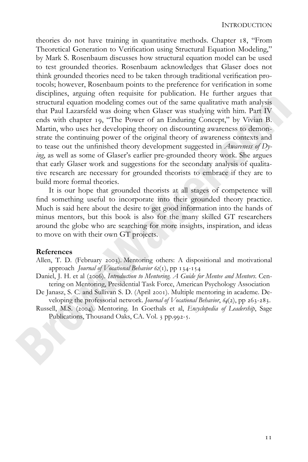theories do not have training in quantitative methods. Chapter 18, "From Theoretical Generation to Verification using Structural Equation Modeling," by Mark S. Rosenbaum discusses how structural equation model can be used to test grounded theories. Rosenbaum acknowledges that Glaser does not think grounded theories need to be taken through traditional verification protocols; however, Rosenbaum points to the preference for verification in some disciplines, arguing often requisite for publication. He further argues that structural equation modeling comes out of the same qualitative math analysis that Paul Lazarsfeld was doing when Glaser was studying with him. Part IV ends with chapter 19, "The Power of an Enduring Concept," by Vivian B. Martin, who uses her developing theory on discounting awareness to demonstrate the continuing power of the original theory of awareness contexts and to tease out the unfinished theory development suggested in *Awareness of Dying*, as well as some of Glaser's earlier pre-grounded theory work. She argues that early Glaser work and suggestions for the secondary analysis of qualitative research are necessary for grounded theorists to embrace if they are to build more formal theories.

It is our hope that grounded theorists at all stages of competence will find something useful to incorporate into their grounded theory practice. Much is said here about the desire to get good information into the hands of minus mentors, but this book is also for the many skilled GT researchers around the globe who are searching for more insights, inspiration, and ideas to move on with their own GT projects.

#### **References**

- Allen, T. D. (February 2003). Mentoring others: A dispositional and motivational approach *Journal of Vocational Behavior 62(1)*, pp 134-154
- Daniel, J. H. et al (2006). *Introduction to Mentoring. A Guide for Mentee and Mentors*. Centering on Mentoring, Presidential Task Force, American Psychology Association
- De Janasz, S. C. and Sullivan S. D. (April 2001). Multiple mentoring in academe. Developing the professorial network. *Journal of Vocational Behavior*, 64(2), pp 263-283.
- Russell, M.S. (2004). Mentoring. In Goethals et al, *Encyclopedia of Leadership*, Sage Publications, Thousand Oaks, CA. Vol. 3 pp.992-5.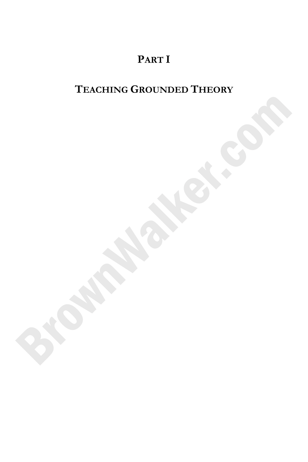## **PART I**

### **TEACHING GROUNDED THEORY**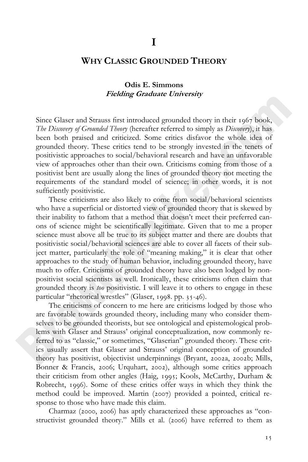#### **WHY CLASSIC GROUNDED THEORY**

#### **Odis E. Simmons Fielding Graduate University**

Since Glaser and Strauss first introduced grounded theory in their 1967 book, *The Discovery of Grounded Theory* (hereafter referred to simply as *Discovery*), it has been both praised and criticized. Some critics disfavor the whole idea of grounded theory. These critics tend to be strongly invested in the tenets of positivistic approaches to social/behavioral research and have an unfavorable view of approaches other than their own. Criticisms coming from those of a positivist bent are usually along the lines of grounded theory not meeting the requirements of the standard model of science; in other words, it is not sufficiently positivistic.

These criticisms are also likely to come from social/behavioral scientists who have a superficial or distorted view of grounded theory that is skewed by their inability to fathom that a method that doesn't meet their preferred canons of science might be scientifically legitimate. Given that to me a proper science must above all be true to its subject matter and there are doubts that positivistic social/behavioral sciences are able to cover all facets of their subject matter, particularly the role of "meaning making," it is clear that other approaches to the study of human behavior, including grounded theory, have much to offer. Criticisms of grounded theory have also been lodged by nonpositivist social scientists as well. Ironically, these criticisms often claim that grounded theory is *too* positivistic. I will leave it to others to engage in these particular "rhetorical wrestles" (Glaser,  $1998.$  pp.  $35-46$ ).

The criticisms of concern to me here are criticisms lodged by those who are favorable towards grounded theory, including many who consider themselves to be grounded theorists, but see ontological and epistemological problems with Glaser and Strauss' original conceptualization, now commonly referred to as "classic," or sometimes, "Glaserian" grounded theory. These critics usually assert that Glaser and Strauss' original conception of grounded theory has positivist, objectivist underpinnings (Bryant, 2002a, 2002b; Mills, Bonner & Francis, 2006; Urquhart, 2002), although some critics approach their criticism from other angles (Haig, 1995; Kools, McCarthy, Durham & Robrecht, 1996). Some of these critics offer ways in which they think the method could be improved. Martin  $(2007)$  provided a pointed, critical response to those who have made this claim.

Charmaz (2000, 2006) has aptly characterized these approaches as "constructivist grounded theory." Mills et al. (2006) have referred to them as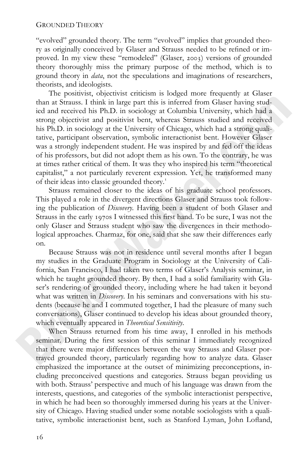"evolved" grounded theory. The term "evolved" implies that grounded theory as originally conceived by Glaser and Strauss needed to be refined or improved. In my view these "remodeled" (Glaser, 2003) versions of grounded theory thoroughly miss the primary purpose of the method, which is to ground theory in *data*, not the speculations and imaginations of researchers, theorists, and ideologists.

The positivist, objectivist criticism is lodged more frequently at Glaser than at Strauss. I think in large part this is inferred from Glaser having studied and received his Ph.D. in sociology at Columbia University, which had a strong objectivist and positivist bent, whereas Strauss studied and received his Ph.D. in sociology at the University of Chicago, which had a strong qualitative, participant observation, symbolic interactionist bent. However Glaser was a strongly independent student. He was inspired by and fed off the ideas of his professors, but did not adopt them as his own. To the contrary, he was at times rather critical of them. It was they who inspired his term "theoretical capitalist," a not particularly reverent expression. Yet, he transformed many of their ideas into classic grounded theory.

Strauss remained closer to the ideas of his graduate school professors. This played a role in the divergent directions Glaser and Strauss took following the publication of *Discovery*. Having been a student of both Glaser and Strauss in the early  $1970s$  I witnessed this first hand. To be sure, I was not the only Glaser and Strauss student who saw the divergences in their methodological approaches. Charmaz, for one, said that she saw their differences early on.

Because Strauss was not in residence until several months after I began my studies in the Graduate Program in Sociology at the University of California, San Francisco, I had taken two terms of Glaser's Analysis seminar, in which he taught grounded theory. By then, I had a solid familiarity with Glaser's rendering of grounded theory, including where he had taken it beyond what was written in *Discovery*. In his seminars and conversations with his students (because he and I commuted together, I had the pleasure of many such conversations), Glaser continued to develop his ideas about grounded theory, which eventually appeared in *Theoretical Sensitivity*.

When Strauss returned from his time away, I enrolled in his methods seminar. During the first session of this seminar I immediately recognized that there were major differences between the way Strauss and Glaser portrayed grounded theory, particularly regarding how to analyze data. Glaser emphasized the importance at the outset of minimizing preconceptions, including preconceived questions and categories. Strauss began providing us with both. Strauss' perspective and much of his language was drawn from the interests, questions, and categories of the symbolic interactionist perspective, in which he had been so thoroughly immersed during his years at the University of Chicago. Having studied under some notable sociologists with a qualitative, symbolic interactionist bent, such as Stanford Lyman, John Lofland,